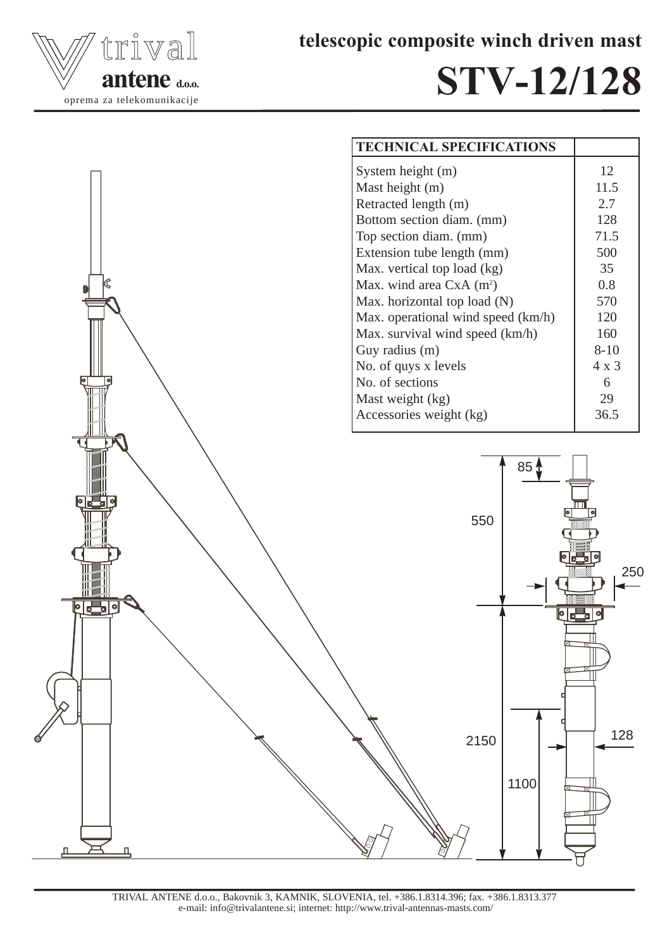

telescopic composite winch driven mast

## STV-12/128